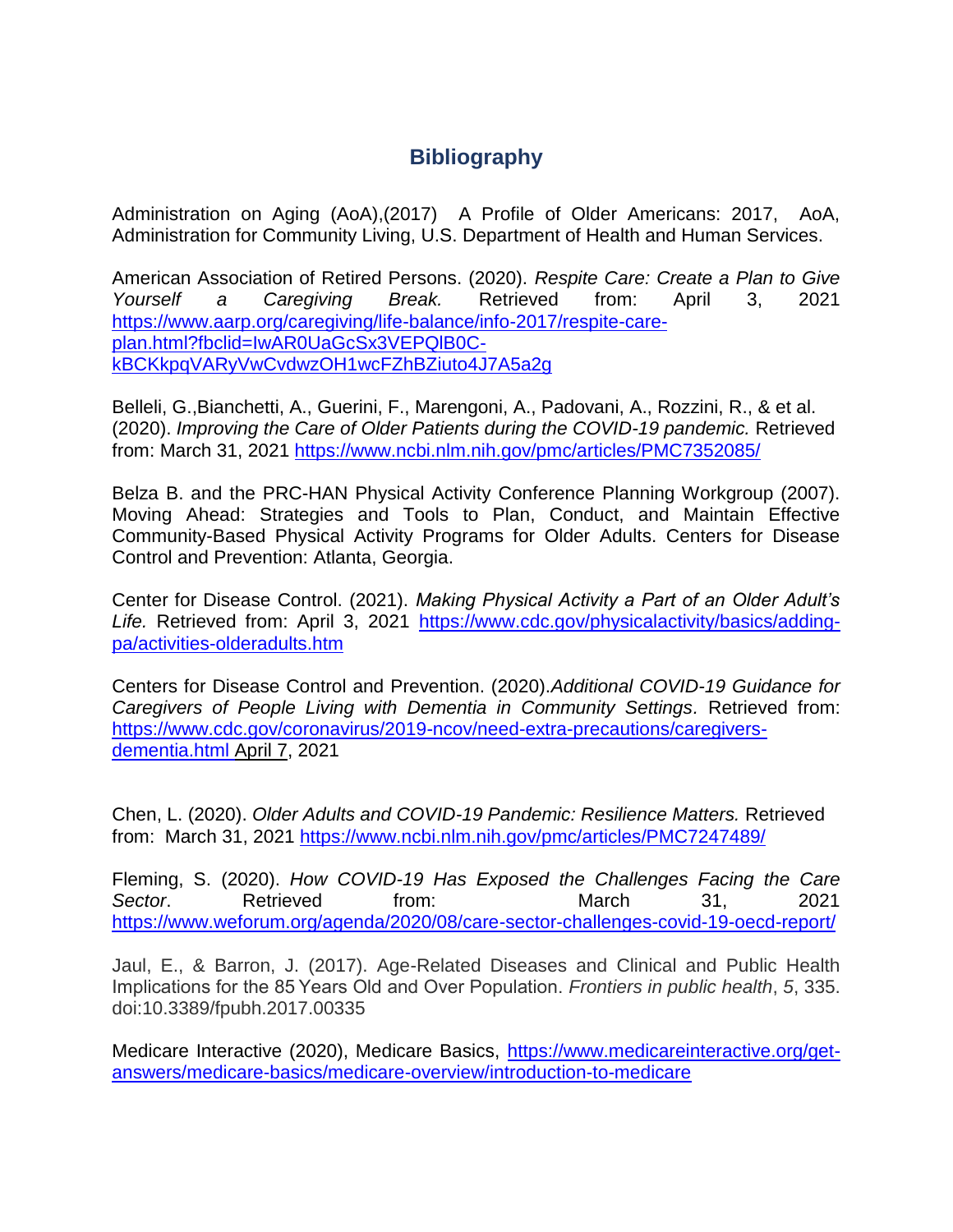## **Bibliography**

Administration on Aging (AoA),(2017) A Profile of Older Americans: 2017, AoA, Administration for Community Living, U.S. Department of Health and Human Services.

American Association of Retired Persons. (2020). *Respite Care: Create a Plan to Give Yourself a Caregiving Break.* Retrieved from: April 3, 2021 [https://www.aarp.org/caregiving/life-balance/info-2017/respite-care](https://www.aarp.org/caregiving/life-balance/info-2017/respite-care-plan.html?fbclid=IwAR0UaGcSx3VEPQlB0C-kBCKkpqVARyVwCvdwzOH1wcFZhBZiuto4J7A5a2g)[plan.html?fbclid=IwAR0UaGcSx3VEPQlB0C](https://www.aarp.org/caregiving/life-balance/info-2017/respite-care-plan.html?fbclid=IwAR0UaGcSx3VEPQlB0C-kBCKkpqVARyVwCvdwzOH1wcFZhBZiuto4J7A5a2g)[kBCKkpqVARyVwCvdwzOH1wcFZhBZiuto4J7A5a2g](https://www.aarp.org/caregiving/life-balance/info-2017/respite-care-plan.html?fbclid=IwAR0UaGcSx3VEPQlB0C-kBCKkpqVARyVwCvdwzOH1wcFZhBZiuto4J7A5a2g)

Belleli, G.,Bianchetti, A., Guerini, F., Marengoni, A., Padovani, A., Rozzini, R., & et al. (2020). *Improving the Care of Older Patients during the COVID-19 pandemic.* Retrieved from: March 31, 2021<https://www.ncbi.nlm.nih.gov/pmc/articles/PMC7352085/>

Belza B. and the PRC-HAN Physical Activity Conference Planning Workgroup (2007). Moving Ahead: Strategies and Tools to Plan, Conduct, and Maintain Effective Community-Based Physical Activity Programs for Older Adults. Centers for Disease Control and Prevention: Atlanta, Georgia.

Center for Disease Control. (2021). *Making Physical Activity a Part of an Older Adult's Life.* Retrieved from: April 3, 2021 [https://www.cdc.gov/physicalactivity/basics/adding](https://www.cdc.gov/physicalactivity/basics/adding-pa/activities-olderadults.htm)[pa/activities-olderadults.htm](https://www.cdc.gov/physicalactivity/basics/adding-pa/activities-olderadults.htm)

Centers for Disease Control and Prevention. (2020).*Additional COVID-19 Guidance for Caregivers of People Living with Dementia in Community Settings.* Retrieved from: [https://www.cdc.gov/coronavirus/2019-ncov/need-extra-precautions/caregivers](https://www.cdc.gov/coronavirus/2019-ncov/need-extra-precautions/caregivers-dementia.html%20April%207)[dementia.html April 7,](https://www.cdc.gov/coronavirus/2019-ncov/need-extra-precautions/caregivers-dementia.html%20April%207) 2021

Chen, L. (2020). *Older Adults and COVID-19 Pandemic: Resilience Matters.* Retrieved from: March 31, 2021<https://www.ncbi.nlm.nih.gov/pmc/articles/PMC7247489/>

Fleming, S. (2020). *How COVID-19 Has Exposed the Challenges Facing the Care*  Sector. Retrieved from: March 31, 2021 <https://www.weforum.org/agenda/2020/08/care-sector-challenges-covid-19-oecd-report/>

Jaul, E., & Barron, J. (2017). Age-Related Diseases and Clinical and Public Health Implications for the 85 Years Old and Over Population. *Frontiers in public health*, *5*, 335. doi:10.3389/fpubh.2017.00335

Medicare Interactive (2020), Medicare Basics, [https://www.medicareinteractive.org/get](https://www.medicareinteractive.org/get-answers/medicare-basics/medicare-overview/introduction-to-medicare)[answers/medicare-basics/medicare-overview/introduction-to-medicare](https://www.medicareinteractive.org/get-answers/medicare-basics/medicare-overview/introduction-to-medicare)